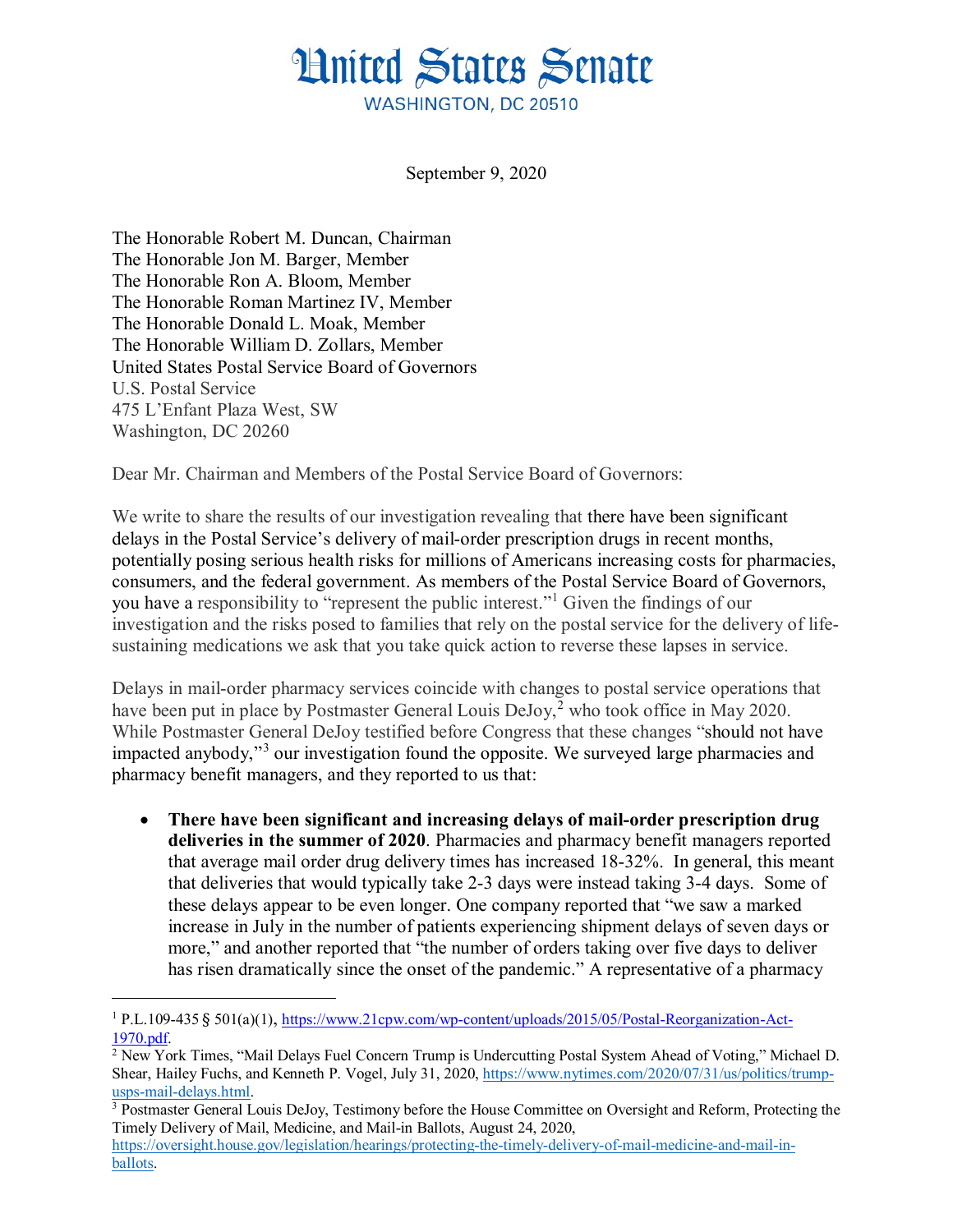## **Hnited States Senate** WASHINGTON, DC 20510

September 9, 2020

The Honorable Robert M. Duncan, Chairman The Honorable Jon M. Barger, Member The Honorable Ron A. Bloom, Member The Honorable Roman Martinez IV, Member The Honorable Donald L. Moak, Member The Honorable William D. Zollars, Member United States Postal Service Board of Governors U.S. Postal Service 475 L'Enfant Plaza West, SW Washington, DC 20260

Dear Mr. Chairman and Members of the Postal Service Board of Governors:

We write to share the results of our investigation revealing that there have been significant delays in the Postal Service's delivery of mail-order prescription drugs in recent months, potentially posing serious health risks for millions of Americans increasing costs for pharmacies, consumers, and the federal government. As members of the Postal Service Board of Governors, you have a responsibility to "represent the public interest."[1](#page-0-0) Given the findings of our investigation and the risks posed to families that rely on the postal service for the delivery of lifesustaining medications we ask that you take quick action to reverse these lapses in service.

Delays in mail-order pharmacy services coincide with changes to postal service operations that have been put in place by Postmaster General Louis DeJoy,<sup>[2](#page-0-1)</sup> who took office in May 2020. While Postmaster General DeJoy testified before Congress that these changes "should not have impacted anybody,"[3](#page-0-2) our investigation found the opposite. We surveyed large pharmacies and pharmacy benefit managers, and they reported to us that:

• **There have been significant and increasing delays of mail-order prescription drug deliveries in the summer of 2020**. Pharmacies and pharmacy benefit managers reported that average mail order drug delivery times has increased 18-32%. In general, this meant that deliveries that would typically take 2-3 days were instead taking 3-4 days. Some of these delays appear to be even longer. One company reported that "we saw a marked increase in July in the number of patients experiencing shipment delays of seven days or more," and another reported that "the number of orders taking over five days to deliver has risen dramatically since the onset of the pandemic." A representative of a pharmacy

<span id="page-0-0"></span> <sup>1</sup> P.L.109-435 § 501(a)(1), [https://www.21cpw.com/wp-content/uploads/2015/05/Postal-Reorganization-Act-](https://www.21cpw.com/wp-content/uploads/2015/05/Postal-Reorganization-Act-1970.pdf)[1970.pdf.](https://www.21cpw.com/wp-content/uploads/2015/05/Postal-Reorganization-Act-1970.pdf)

<span id="page-0-1"></span><sup>2</sup> New York Times, "Mail Delays Fuel Concern Trump is Undercutting Postal System Ahead of Voting," Michael D. Shear, Hailey Fuchs, and Kenneth P. Vogel, July 31, 2020, [https://www.nytimes.com/2020/07/31/us/politics/trump](https://www.nytimes.com/2020/07/31/us/politics/trump-usps-mail-delays.html)[usps-mail-delays.html.](https://www.nytimes.com/2020/07/31/us/politics/trump-usps-mail-delays.html)

<span id="page-0-2"></span><sup>3</sup> Postmaster General Louis DeJoy, Testimony before the House Committee on Oversight and Reform, Protecting the Timely Delivery of Mail, Medicine, and Mail-in Ballots, August 24, 2020,

[https://oversight.house.gov/legislation/hearings/protecting-the-timely-delivery-of-mail-medicine-and-mail-in](https://oversight.house.gov/legislation/hearings/protecting-the-timely-delivery-of-mail-medicine-and-mail-in-ballots)[ballots.](https://oversight.house.gov/legislation/hearings/protecting-the-timely-delivery-of-mail-medicine-and-mail-in-ballots)